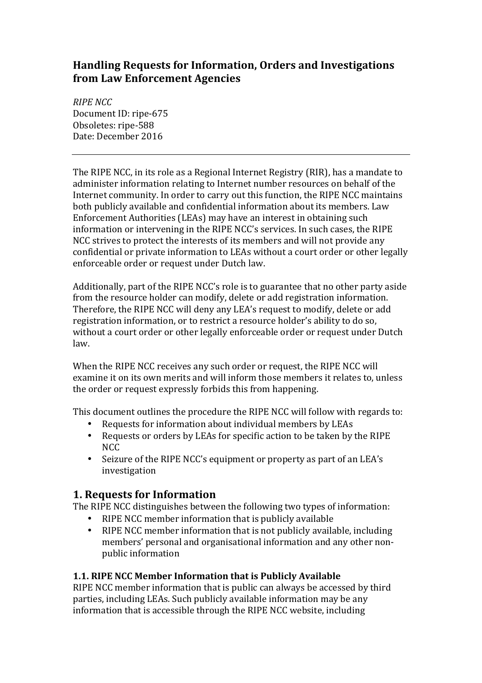# **Handling Requests for Information, Orders and Investigations from Law Enforcement Agencies**

*RIPE NCC* Document ID: ripe-675 Obsoletes: ripe-588 Date: December 2016

The RIPE NCC, in its role as a Regional Internet Registry (RIR), has a mandate to administer information relating to Internet number resources on behalf of the Internet community. In order to carry out this function, the RIPE NCC maintains both publicly available and confidential information about its members. Law Enforcement Authorities (LEAs) may have an interest in obtaining such information or intervening in the RIPE NCC's services. In such cases, the RIPE NCC strives to protect the interests of its members and will not provide any confidential or private information to LEAs without a court order or other legally enforceable order or request under Dutch law.

Additionally, part of the RIPE NCC's role is to guarantee that no other party aside from the resource holder can modify, delete or add registration information. Therefore, the RIPE NCC will deny any LEA's request to modify, delete or add registration information, or to restrict a resource holder's ability to do so, without a court order or other legally enforceable order or request under Dutch law.

When the RIPE NCC receives any such order or request, the RIPE NCC will examine it on its own merits and will inform those members it relates to, unless the order or request expressly forbids this from happening.

This document outlines the procedure the RIPE NCC will follow with regards to:

- Requests for information about individual members by LEAs
- Requests or orders by LEAs for specific action to be taken by the RIPE NCC
- Seizure of the RIPE NCC's equipment or property as part of an LEA's investigation

## **1. Requests for Information**

The RIPE NCC distinguishes between the following two types of information:

- RIPE NCC member information that is publicly available
- RIPE NCC member information that is not publicly available, including members' personal and organisational information and any other nonpublic information

### **1.1. RIPE NCC Member Information that is Publicly Available**

RIPE NCC member information that is public can always be accessed by third parties, including LEAs. Such publicly available information may be any information that is accessible through the RIPE NCC website, including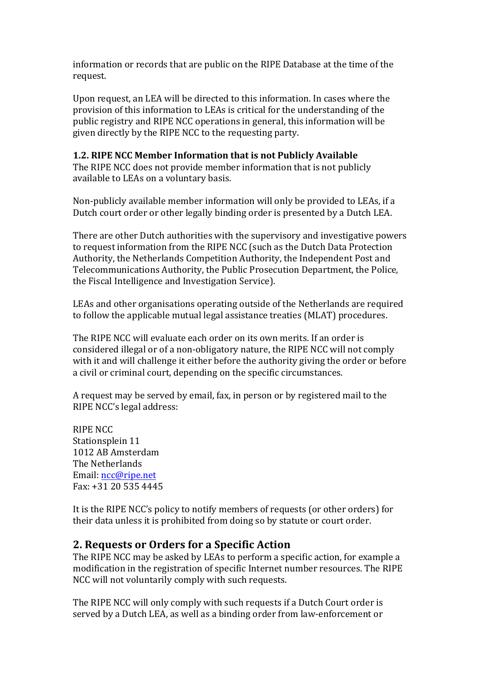information or records that are public on the RIPE Database at the time of the request.

Upon request, an LEA will be directed to this information. In cases where the provision of this information to LEAs is critical for the understanding of the public registry and RIPE NCC operations in general, this information will be given directly by the RIPE NCC to the requesting party.

#### **1.2. RIPE NCC Member Information that is not Publicly Available**

The RIPE NCC does not provide member information that is not publicly available to LEAs on a voluntary basis.

Non-publicly available member information will only be provided to LEAs, if a Dutch court order or other legally binding order is presented by a Dutch LEA.

There are other Dutch authorities with the supervisory and investigative powers to request information from the RIPE NCC (such as the Dutch Data Protection Authority, the Netherlands Competition Authority, the Independent Post and Telecommunications Authority, the Public Prosecution Department, the Police, the Fiscal Intelligence and Investigation Service).

LEAs and other organisations operating outside of the Netherlands are required to follow the applicable mutual legal assistance treaties (MLAT) procedures.

The RIPE NCC will evaluate each order on its own merits. If an order is considered illegal or of a non-obligatory nature, the RIPE NCC will not comply with it and will challenge it either before the authority giving the order or before a civil or criminal court, depending on the specific circumstances.

A request may be served by email, fax, in person or by registered mail to the RIPE NCC's legal address:

**RIPE NCC** Stationsplein 11 1012 AB Amsterdam The Netherlands Email: ncc@ripe.net Fax:  $+31$  20 535 4445

It is the RIPE NCC's policy to notify members of requests (or other orders) for their data unless it is prohibited from doing so by statute or court order.

## **2. Requests or Orders for a Specific Action**

The RIPE NCC may be asked by LEAs to perform a specific action, for example a modification in the registration of specific Internet number resources. The RIPE NCC will not voluntarily comply with such requests.

The RIPE NCC will only comply with such requests if a Dutch Court order is served by a Dutch LEA, as well as a binding order from law-enforcement or